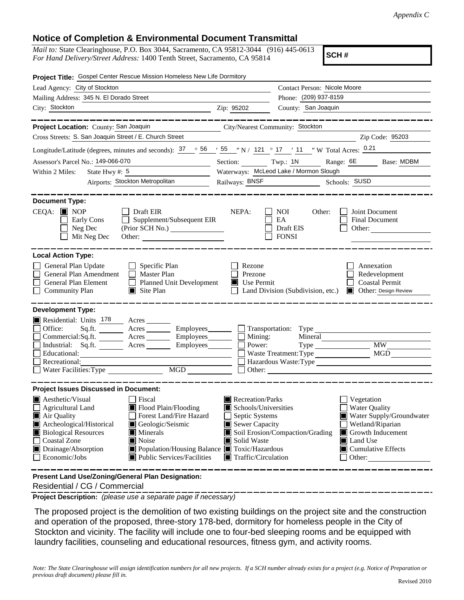## **Notice of Completion & Environmental Document Transmittal**

*Mail to:* State Clearinghouse, P.O. Box 3044, Sacramento, CA 95812-3044 (916) 445-0613 *For Hand Delivery/Street Address:* 1400 Tenth Street, Sacramento, CA 95814

**SCH #**

| Project Title: Gospel Center Rescue Mission Homeless New Life Dormitory                                                                                                                                                                                                                                                                                                                                   |                                                                                                                                                  |                                                                 |                                                                                                                                                            |
|-----------------------------------------------------------------------------------------------------------------------------------------------------------------------------------------------------------------------------------------------------------------------------------------------------------------------------------------------------------------------------------------------------------|--------------------------------------------------------------------------------------------------------------------------------------------------|-----------------------------------------------------------------|------------------------------------------------------------------------------------------------------------------------------------------------------------|
| Lead Agency: City of Stockton                                                                                                                                                                                                                                                                                                                                                                             |                                                                                                                                                  | Contact Person: Nicole Moore                                    |                                                                                                                                                            |
| Mailing Address: 345 N. El Dorado Street                                                                                                                                                                                                                                                                                                                                                                  |                                                                                                                                                  | Phone: (209) 937-8159                                           |                                                                                                                                                            |
| City: Stockton                                                                                                                                                                                                                                                                                                                                                                                            | Zip: 95202                                                                                                                                       | County: San Joaquin                                             |                                                                                                                                                            |
|                                                                                                                                                                                                                                                                                                                                                                                                           |                                                                                                                                                  |                                                                 |                                                                                                                                                            |
| Project Location: County: San Joaquin                                                                                                                                                                                                                                                                                                                                                                     | City/Nearest Community: Stockton                                                                                                                 |                                                                 |                                                                                                                                                            |
| Cross Streets: S. San Joaquin Street / E. Church Street                                                                                                                                                                                                                                                                                                                                                   |                                                                                                                                                  |                                                                 | Zip Code: 95203                                                                                                                                            |
| Longitude/Latitude (degrees, minutes and seconds): $37 \degree$ 56 $\degree$ 55 $\degree$ N / 121 $\degree$ 17 $\degree$ 11 $\degree$ W Total Acres: 0.21                                                                                                                                                                                                                                                 |                                                                                                                                                  |                                                                 |                                                                                                                                                            |
| Assessor's Parcel No.: 149-066-070                                                                                                                                                                                                                                                                                                                                                                        |                                                                                                                                                  |                                                                 | Section: Twp.: 1N Range: 6E Base: MDBM                                                                                                                     |
| Within 2 Miles:<br>State Hwy #: $5$<br><u> 1990 - Johann Barn, mars ann an t-Sa</u>                                                                                                                                                                                                                                                                                                                       | Waterways: McLeod Lake / Mormon Slough                                                                                                           |                                                                 |                                                                                                                                                            |
| Airports: Stockton Metropolitan                                                                                                                                                                                                                                                                                                                                                                           |                                                                                                                                                  | Railways: <b>BNSF</b> Schools: <b>SUSD</b> Schools: <b>SUSD</b> |                                                                                                                                                            |
|                                                                                                                                                                                                                                                                                                                                                                                                           |                                                                                                                                                  |                                                                 |                                                                                                                                                            |
| <b>Document Type:</b><br>$CEQA: \blacksquare$ NOP<br>$\Box$ Draft EIR<br>Supplement/Subsequent EIR<br>$\Box$<br>Early Cons<br>Neg Dec<br>Mit Neg Dec                                                                                                                                                                                                                                                      | NEPA:                                                                                                                                            | NOI<br>Other:<br>EA<br>Draft EIS<br><b>FONSI</b>                | Joint Document<br>Final Document<br>Other:                                                                                                                 |
| <b>Local Action Type:</b><br>General Plan Update<br>$\Box$ Specific Plan<br>General Plan Amendment<br>$\Box$ Master Plan<br>Planned Unit Development<br><b>General Plan Element</b><br><b>Community Plan</b><br>$\Box$ Site Plan                                                                                                                                                                          | Rezone<br>Prezone<br>$\blacksquare$ Use Permit                                                                                                   | Land Division (Subdivision, etc.)                               | Annexation<br>Redevelopment<br><b>Coastal Permit</b><br><b>I</b> Other: Design Review                                                                      |
| <b>Development Type:</b>                                                                                                                                                                                                                                                                                                                                                                                  |                                                                                                                                                  |                                                                 |                                                                                                                                                            |
| Residential: Units 178 Acres<br>Office:<br>Sq.ft. Acres Employees Transportation: Type<br>$Commercial:Sq.fit.$ Acres Employees $\Box$ Mining:<br>Industrial: Sq.ft. _______ Acres _______ Employees ______ $\Box$<br>Educational:<br>Recreational:<br>MGD<br>Water Facilities: Type                                                                                                                       | Power:                                                                                                                                           | Mineral<br>Waste Treatment: Type                                | <b>MW</b><br>MGD<br>Hazardous Waste:Type                                                                                                                   |
| <b>Project Issues Discussed in Document:</b>                                                                                                                                                                                                                                                                                                                                                              |                                                                                                                                                  |                                                                 |                                                                                                                                                            |
| $\blacksquare$ Aesthetic/Visual<br>Fiscal<br>$\Box$ Agricultural Land<br>Flood Plain/Flooding<br>Forest Land/Fire Hazard<br>Air Quality<br>Archeological/Historical<br>Geologic/Seismic<br><b>Biological Resources</b><br>$\blacksquare$ Minerals<br><b>Coastal Zone</b><br>Noise<br>Drainage/Absorption<br>Population/Housing Balance ■ Toxic/Hazardous<br>Economic/Jobs<br>■ Public Services/Facilities | Recreation/Parks<br>Schools/Universities<br>Septic Systems<br>$\blacksquare$ Sewer Capacity<br>Solid Waste<br>$\blacksquare$ Traffic/Circulation | Soil Erosion/Compaction/Grading                                 | Vegetation<br><b>Water Quality</b><br>Water Supply/Groundwater<br>Wetland/Riparian<br>Growth Inducement<br>Land Use<br>$\Box$ Cumulative Effects<br>Other: |
| Present Land Use/Zoning/General Plan Designation:                                                                                                                                                                                                                                                                                                                                                         |                                                                                                                                                  |                                                                 |                                                                                                                                                            |

Residential / CG / Commercial

**Project Description:** *(please use a separate page if necessary)*

 The proposed project is the demolition of two existing buildings on the project site and the construction and operation of the proposed, three-story 178-bed, dormitory for homeless people in the City of Stockton and vicinity. The facility will include one to four-bed sleeping rooms and be equipped with laundry facilities, counseling and educational resources, fitness gym, and activity rooms.